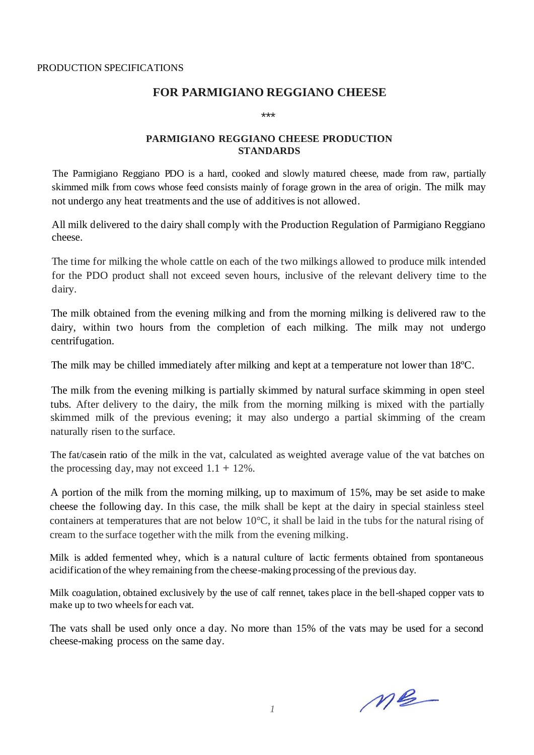# **FOR PARMIGIANO REGGIANO CHEESE**

\*\*\*

## **PARMIGIANO REGGIANO CHEESE PRODUCTION STANDARDS**

The Parmigiano Reggiano PDO is a hard, cooked and slowly matured cheese, made from raw, partially skimmed milk from cows whose feed consists mainly of forage grown in the area of origin. The milk may not undergo any heat treatments and the use of additives is not allowed.

All milk delivered to the dairy shall comply with the Production Regulation of Parmigiano Reggiano cheese.

The time for milking the whole cattle on each of the two milkings allowed to produce milk intended for the PDO product shall not exceed seven hours, inclusive of the relevant delivery time to the dairy.

The milk obtained from the evening milking and from the morning milking is delivered raw to the dairy, within two hours from the completion of each milking. The milk may not undergo centrifugation.

The milk may be chilled immediately after milking and kept at a temperature not lower than 18ºC.

The milk from the evening milking is partially skimmed by natural surface skimming in open steel tubs. After delivery to the dairy, the milk from the morning milking is mixed with the partially skimmed milk of the previous evening; it may also undergo a partial skimming of the cream naturally risen to the surface.

The fat/casein ratio of the milk in the vat, calculated as weighted average value of the vat batches on the processing day, may not exceed  $1.1 + 12\%$ .

A portion of the milk from the morning milking, up to maximum of 15%, may be set aside to make cheese the following day. In this case, the milk shall be kept at the dairy in special stainless steel containers at temperatures that are not below 10°C, it shall be laid in the tubs for the natural rising of cream to the surface together with the milk from the evening milking.

Milk is added fermented whey, which is a natural culture of lactic ferments obtained from spontaneous acidification of the whey remaining from the cheese-making processing of the previous day.

Milk coagulation, obtained exclusively by the use of calf rennet, takes place in the bell-shaped copper vats to make up to two wheels for each vat.

The vats shall be used only once a day. No more than 15% of the vats may be used for a second cheese-making process on the same day.

 $M_{\odot}$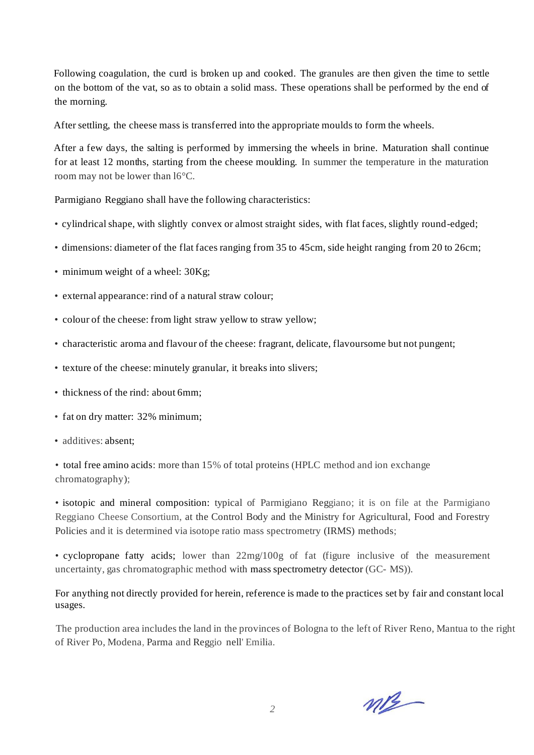Following coagulation, the curd is broken up and cooked. The granules are then given the time to settle on the bottom of the vat, so as to obtain a solid mass. These operations shall be performed by the end of the morning.

After settling, the cheese mass is transferred into the appropriate moulds to form the wheels.

After a few days, the salting is performed by immersing the wheels in brine. Maturation shall continue for at least 12 months, starting from the cheese moulding. In summer the temperature in the maturation room may not be lower than l6°C.

Parmigiano Reggiano shall have the following characteristics:

- cylindrical shape, with slightly convex or almost straight sides, with flat faces, slightly round-edged;
- dimensions: diameter of the flat faces ranging from 35 to 45cm, side height ranging from 20 to 26cm;
- minimum weight of a wheel: 30Kg;
- external appearance: rind of a natural straw colour;
- colour of the cheese: from light straw yellow to straw yellow;
- characteristic aroma and flavour of the cheese: fragrant, delicate, flavoursome but not pungent;
- texture of the cheese: minutely granular, it breaks into slivers;
- thickness of the rind: about 6mm;
- fat on dry matter: 32% minimum;
- additives: absent;

• total free amino acids: more than 15% of total proteins (HPLC method and ion exchange chromatography);

• isotopic and mineral composition: typical of Parmigiano Reggiano; it is on file at the Parmigiano Reggiano Cheese Consortium, at the Control Body and the Ministry for Agricultural, Food and Forestry Policies and it is determined via isotope ratio mass spectrometry (IRMS) methods;

• cyclopropane fatty acids; lower than 22mg/100g of fat (figure inclusive of the measurement uncertainty, gas chromatographic method with mass spectrometry detector (GC- MS)).

For anything not directly provided for herein, reference is made to the practices set by fair and constant local usages.

The production area includes the land in the provinces of Bologna to the left of River Reno, Mantua to the right of River Po, Modena, Parma and Reggio nell' Emilia.

 $m2$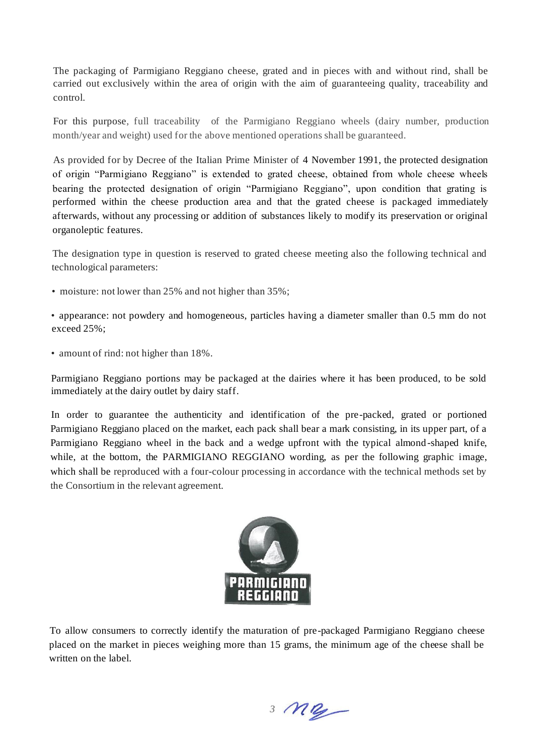The packaging of Parmigiano Reggiano cheese, grated and in pieces with and without rind, shall be carried out exclusively within the area of origin with the aim of guaranteeing quality, traceability and control.

For this purpose, full traceability of the Parmigiano Reggiano wheels (dairy number, production month/year and weight) used for the above mentioned operations shall be guaranteed.

As provided for by Decree of the Italian Prime Minister of 4 November 1991, the protected designation of origin "Parmigiano Reggiano" is extended to grated cheese, obtained from whole cheese wheels bearing the protected designation of origin "Parmigiano Reggiano", upon condition that grating is performed within the cheese production area and that the grated cheese is packaged immediately afterwards, without any processing or addition of substances likely to modify its preservation or original organoleptic features.

The designation type in question is reserved to grated cheese meeting also the following technical and technological parameters:

• moisture: not lower than 25% and not higher than 35%;

• appearance: not powdery and homogeneous, particles having a diameter smaller than 0.5 mm do not exceed 25%;

• amount of rind: not higher than 18%.

Parmigiano Reggiano portions may be packaged at the dairies where it has been produced, to be sold immediately at the dairy outlet by dairy staff.

In order to guarantee the authenticity and identification of the pre-packed, grated or portioned Parmigiano Reggiano placed on the market, each pack shall bear a mark consisting, in its upper part, of a Parmigiano Reggiano wheel in the back and a wedge upfront with the typical almond -shaped knife, while, at the bottom, the PARMIGIANO REGGIANO wording, as per the following graphic image, which shall be reproduced with a four-colour processing in accordance with the technical methods set by the Consortium in the relevant agreement.



To allow consumers to correctly identify the maturation of pre-packaged Parmigiano Reggiano cheese placed on the market in pieces weighing more than 15 grams, the minimum age of the cheese shall be written on the label.

*3*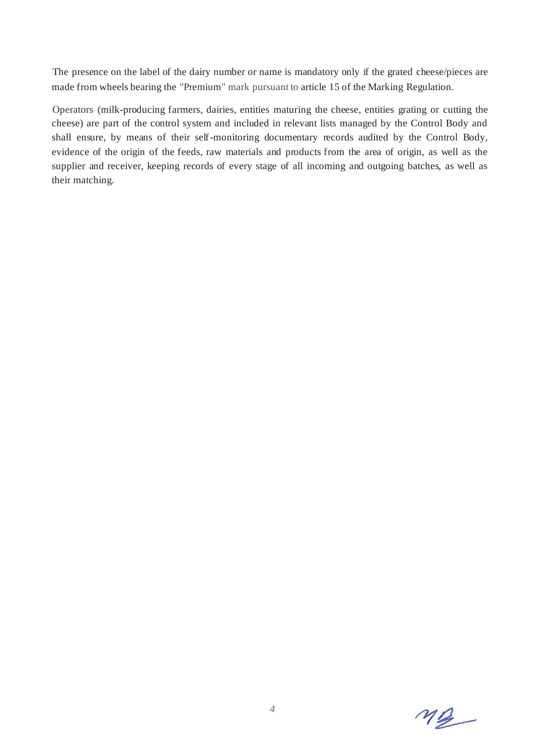The presence on the label of the dairy number or name is mandatory only if the grated cheese/pieces are made from wheels bearing the "Premium" mark pursuant to article 15 of the Marking Regulation.

Operators (milk-producing farmers, dairies, entities maturing the cheese, entities grating or cutting the cheese) are part of the control system and included in relevant lists managed by the Control Body and shall ensure, by means of their self-monitoring documentary records audited by the Control Body, evidence of the origin of the feeds, raw materials and products from the area of origin, as well as the supplier and receiver, keeping records of every stage of all incoming and outgoing batches, as well as their matching.

 $M_{\mathbb{Z}}$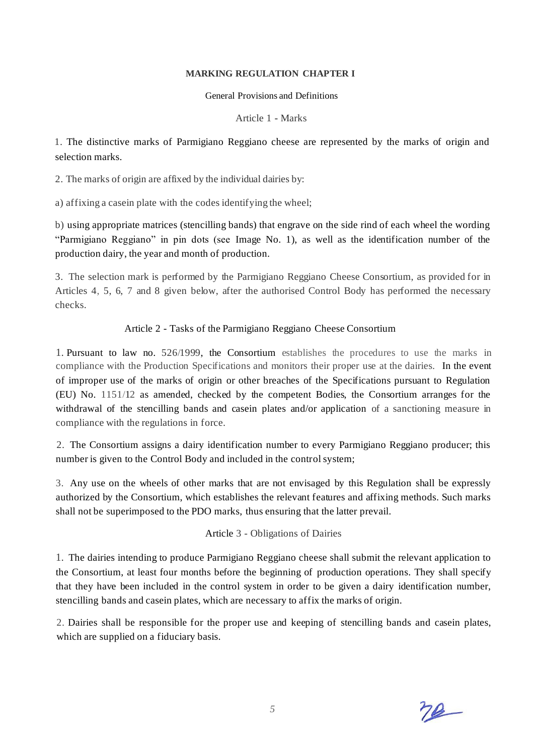#### **MARKING REGULATION CHAPTER I**

General Provisions and Definitions

Article 1 - Marks

1. The distinctive marks of Parmigiano Reggiano cheese are represented by the marks of origin and selection marks.

2. The marks of origin are affixed by the individual dairies by:

a) affixing a casein plate with the codes identifying the wheel;

b) using appropriate matrices (stencilling bands) that engrave on the side rind of each wheel the wording "Parmigiano Reggiano" in pin dots (see Image No. 1), as well as the identification number of the production dairy, the year and month of production.

3. The selection mark is performed by the Parmigiano Reggiano Cheese Consortium, as provided for in Articles 4, 5, 6, 7 and 8 given below, after the authorised Control Body has performed the necessary checks.

# Article 2 - Tasks of the Parmigiano Reggiano Cheese Consortium

1. Pursuant to law no. 526/1999, the Consortium establishes the procedures to use the marks in compliance with the Production Specifications and monitors their proper use at the dairies. In the event of improper use of the marks of origin or other breaches of the Specifications pursuant to Regulation (EU) No. 1151/12 as amended, checked by the competent Bodies, the Consortium arranges for the withdrawal of the stencilling bands and casein plates and/or application of a sanctioning measure in compliance with the regulations in force.

2. The Consortium assigns a dairy identification number to every Parmigiano Reggiano producer; this number is given to the Control Body and included in the control system;

3. Any use on the wheels of other marks that are not envisaged by this Regulation shall be expressly authorized by the Consortium, which establishes the relevant features and affixing methods. Such marks shall not be superimposed to the PDO marks, thus ensuring that the latter prevail.

# Article 3 - Obligations of Dairies

1. The dairies intending to produce Parmigiano Reggiano cheese shall submit the relevant application to the Consortium, at least four months before the beginning of production operations. They shall specify that they have been included in the control system in order to be given a dairy identification number, stencilling bands and casein plates, which are necessary to affix the marks of origin.

2. Dairies shall be responsible for the proper use and keeping of stencilling bands and casein plates, which are supplied on a fiduciary basis.

 $78-$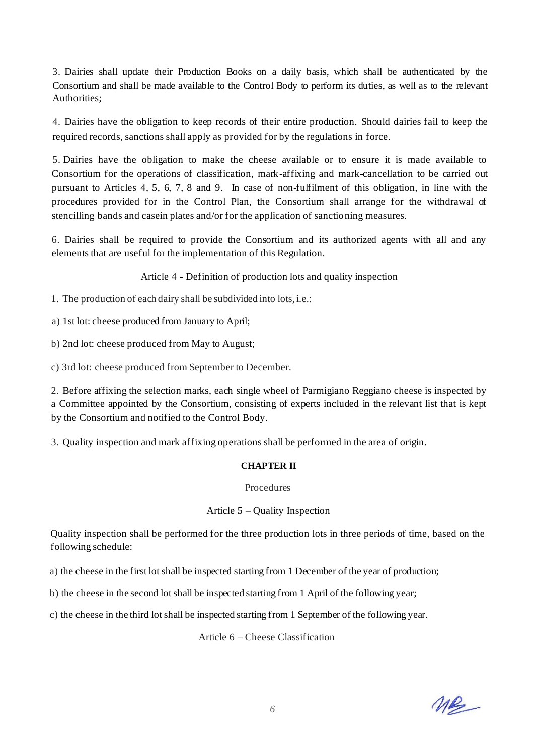3. Dairies shall update their Production Books on a daily basis, which shall be authenticated by the Consortium and shall be made available to the Control Body to perform its duties, as well as to the relevant Authorities;

4. Dairies have the obligation to keep records of their entire production. Should dairies fail to keep the required records, sanctions shall apply as provided for by the regulations in force.

5. Dairies have the obligation to make the cheese available or to ensure it is made available to Consortium for the operations of classification, mark-affixing and mark-cancellation to be carried out pursuant to Articles 4, 5, 6, 7, 8 and 9. In case of non-fulfilment of this obligation, in line with the procedures provided for in the Control Plan, the Consortium shall arrange for the withdrawal of stencilling bands and casein plates and/or for the application of sanctioning measures.

6. Dairies shall be required to provide the Consortium and its authorized agents with all and any elements that are useful for the implementation of this Regulation.

Article 4 - Definition of production lots and quality inspection

1. The production of each dairy shall be subdivided into lots, i.e.:

a) 1st lot: cheese produced from January to April;

b) 2nd lot: cheese produced from May to August;

c) 3rd lot: cheese produced from September to December.

2. Before affixing the selection marks, each single wheel of Parmigiano Reggiano cheese is inspected by a Committee appointed by the Consortium, consisting of experts included in the relevant list that is kept by the Consortium and notified to the Control Body.

3. Quality inspection and mark affixing operations shall be performed in the area of origin.

# **CHAPTER II**

## Procedures

## Article 5 – Quality Inspection

Quality inspection shall be performed for the three production lots in three periods of time, based on the following schedule:

a) the cheese in the first lot shall be inspected starting from 1 December of the year of production;

b) the cheese in the second lot shall be inspected starting from 1 April of the following year;

c) the cheese in the third lot shall be inspected starting from 1 September of the following year.

## Article 6 – Cheese Classification

ne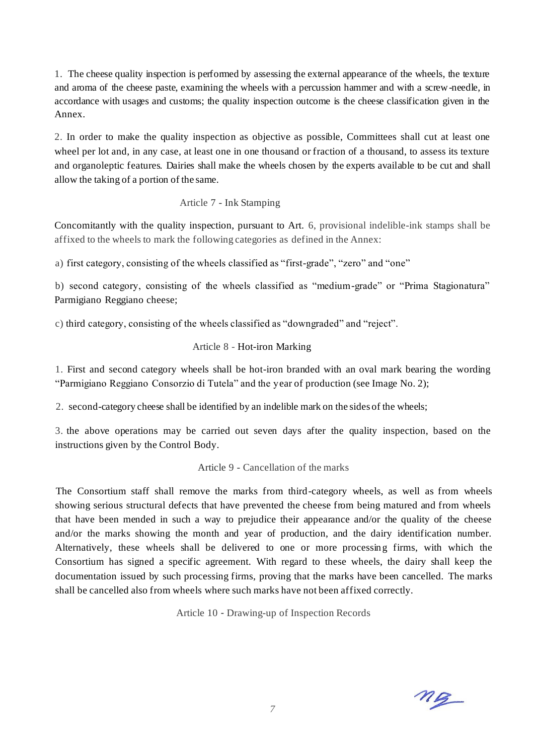1. The cheese quality inspection is performed by assessing the external appearance of the wheels, the texture and aroma of the cheese paste, examining the wheels with a percussion hammer and with a screw-needle, in accordance with usages and customs; the quality inspection outcome is the cheese classification given in the Annex.

2. In order to make the quality inspection as objective as possible, Committees shall cut at least one wheel per lot and, in any case, at least one in one thousand or fraction of a thousand, to assess its texture and organoleptic features. Dairies shall make the wheels chosen by the experts available to be cut and shall allow the taking of a portion of the same.

## Article 7 - Ink Stamping

Concomitantly with the quality inspection, pursuant to Art. 6, provisional indelible-ink stamps shall be affixed to the wheels to mark the following categories as defined in the Annex:

a) first category, consisting of the wheels classified as "first-grade", "zero" and "one"

b) second category, consisting of the wheels classified as "medium-grade" or "Prima Stagionatura" Parmigiano Reggiano cheese;

c) third category, consisting of the wheels classified as "downgraded" and "reject".

## Article 8 - Hot-iron Marking

1. First and second category wheels shall be hot-iron branded with an oval mark bearing the wording "Parmigiano Reggiano Consorzio di Tutela" and the year of production (see Image No. 2);

2. second-category cheese shall be identified by an indelible mark on the sides of the wheels;

3. the above operations may be carried out seven days after the quality inspection, based on the instructions given by the Control Body.

## Article 9 - Cancellation of the marks

The Consortium staff shall remove the marks from third-category wheels, as well as from wheels showing serious structural defects that have prevented the cheese from being matured and from wheels that have been mended in such a way to prejudice their appearance and/or the quality of the cheese and/or the marks showing the month and year of production, and the dairy identification number. Alternatively, these wheels shall be delivered to one or more processing firms, with which the Consortium has signed a specific agreement. With regard to these wheels, the dairy shall keep the documentation issued by such processing firms, proving that the marks have been cancelled. The marks shall be cancelled also from wheels where such marks have not been affixed correctly.

Article 10 - Drawing-up of Inspection Records

 $mg$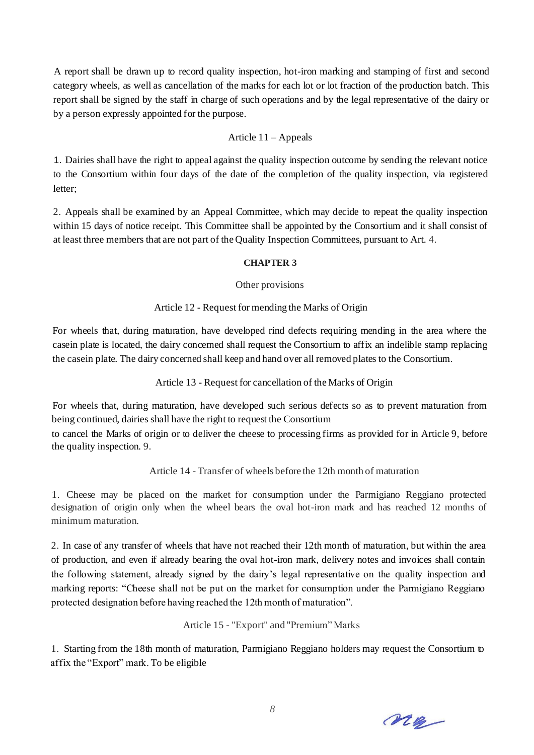A report shall be drawn up to record quality inspection, hot-iron marking and stamping of first and second category wheels, as well as cancellation of the marks for each lot or lot fraction of the production batch. This report shall be signed by the staff in charge of such operations and by the legal representative of the dairy or by a person expressly appointed for the purpose.

## Article 11 – Appeals

1. Dairies shall have the right to appeal against the quality inspection outcome by sending the relevant notice to the Consortium within four days of the date of the completion of the quality inspection, via registered letter;

2. Appeals shall be examined by an Appeal Committee, which may decide to repeat the quality inspection within 15 days of notice receipt. This Committee shall be appointed by the Consortium and it shall consist of at least three members that are not part of the Quality Inspection Committees, pursuant to Art. 4.

## **CHAPTER 3**

## Other provisions

## Article 12 - Request for mending the Marks of Origin

For wheels that, during maturation, have developed rind defects requiring mending in the area where the casein plate is located, the dairy concerned shall request the Consortium to affix an indelible stamp replacing the casein plate. The dairy concerned shall keep and hand over all removed plates to the Consortium.

Article 13 - Request for cancellation of the Marks of Origin

For wheels that, during maturation, have developed such serious defects so as to prevent maturation from being continued, dairies shall have the right to request the Consortium

to cancel the Marks of origin or to deliver the cheese to processing firms as provided for in Article 9, before the quality inspection. 9.

Article 14 - Transfer of wheels before the 12th month of maturation

1. Cheese may be placed on the market for consumption under the Parmigiano Reggiano protected designation of origin only when the wheel bears the oval hot-iron mark and has reached 12 months of minimum maturation.

2. In case of any transfer of wheels that have not reached their 12th month of maturation, but within the area of production, and even if already bearing the oval hot-iron mark, delivery notes and invoices shall contain the following statement, already signed by the dairy's legal representative on the quality inspection and marking reports: "Cheese shall not be put on the market for consumption under the Parmigiano Reggiano protected designation before having reached the 12th month of maturation".

Article 15 - "Export" and "Premium" Marks

1. Starting from the 18th month of maturation, Parmigiano Reggiano holders may request the Consortium to affix the "Export" mark. To be eligible

ne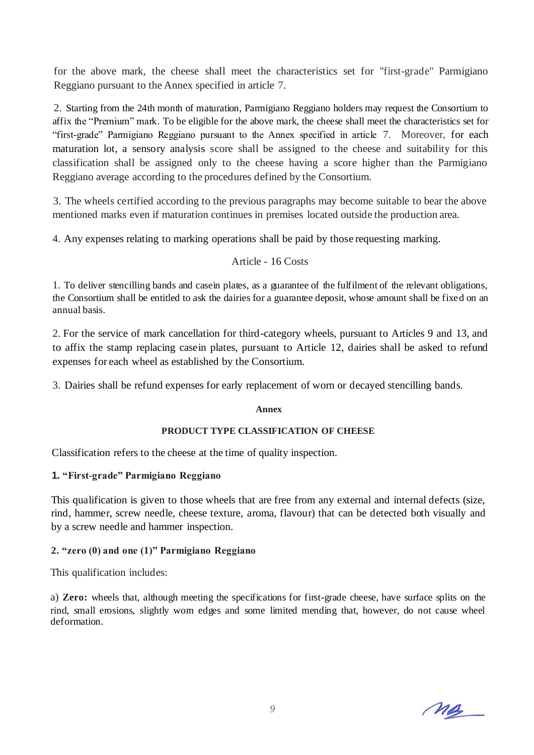for the above mark, the cheese shall meet the characteristics set for "first-grade" Parmigiano Reggiano pursuant to the Annex specified in article 7.

2. Starting from the 24th month of maturation, Parmigiano Reggiano holders may request the Consortium to affix the "Premium" mark. To be eligible for the above mark, the cheese shall meet the characteristics set for "first-grade" Parmigiano Reggiano pursuant to the Annex specified in article 7. Moreover, for each maturation lot, a sensory analysis score shall be assigned to the cheese and suitability for this classification shall be assigned only to the cheese having a score higher than the Parmigiano Reggiano average according to the procedures defined by the Consortium.

3. The wheels certified according to the previous paragraphs may become suitable to bear the above mentioned marks even if maturation continues in premises located outside the production area.

4. Any expenses relating to marking operations shall be paid by those requesting marking.

Article - 16 Costs

1. To deliver stencilling bands and casein plates, as a guarantee of the fulfilment of the relevant obligations, the Consortium shall be entitled to ask the dairies for a guarantee deposit, whose amount shall be fixed on an annual basis.

2. For the service of mark cancellation for third-category wheels, pursuant to Articles 9 and 13, and to affix the stamp replacing casein plates, pursuant to Article 12, dairies shall be asked to refund expenses for each wheel as established by the Consortium.

3. Dairies shall be refund expenses for early replacement of worn or decayed stencilling bands.

#### **Annex**

#### **PRODUCT TYPE CLASSIFICATION OF CHEESE**

Classification refers to the cheese at the time of quality inspection.

## **1. "First-grade" Parmigiano Reggiano**

This qualification is given to those wheels that are free from any external and internal defects (size, rind, hammer, screw needle, cheese texture, aroma, flavour) that can be detected both visually and by a screw needle and hammer inspection.

## **2. "zero (0) and one (1)" Parmigiano Reggiano**

This qualification includes:

a) **Zero:** wheels that, although meeting the specifications for first-grade cheese, have surface splits on the rind, small erosions, slightly worn edges and some limited mending that, however, do not cause wheel deformation.

me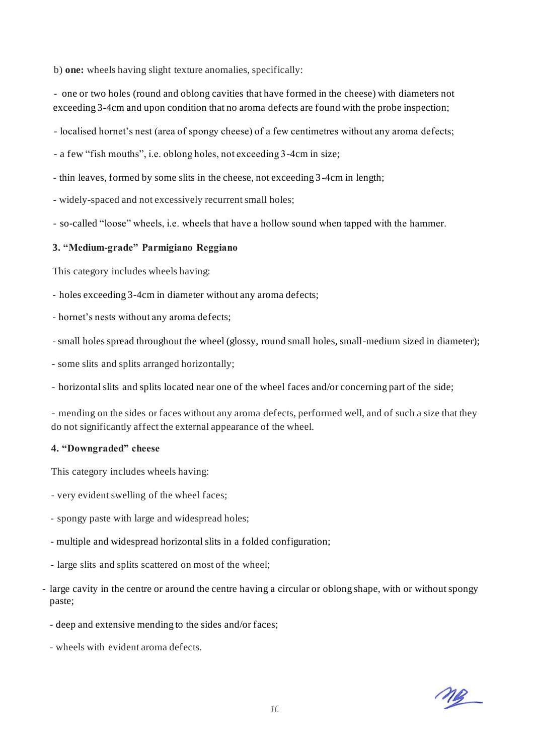b) **one:** wheels having slight texture anomalies, specifically:

- one or two holes (round and oblong cavities that have formed in the cheese) with diameters not exceeding 3-4cm and upon condition that no aroma defects are found with the probe inspection;

- localised hornet's nest (area of spongy cheese) of a few centimetres without any aroma defects;

- a few "fish mouths", i.e. oblong holes, not exceeding 3-4cm in size;

- thin leaves, formed by some slits in the cheese, not exceeding 3-4cm in length;

- widely-spaced and not excessively recurrent small holes;

- so-called "loose" wheels, i.e. wheels that have a hollow sound when tapped with the hammer.

#### **3. "Medium-grade" Parmigiano Reggiano**

This category includes wheels having:

- holes exceeding 3-4cm in diameter without any aroma defects;

- hornet's nests without any aroma defects;

- small holes spread throughout the wheel (glossy, round small holes, small-medium sized in diameter);

- some slits and splits arranged horizontally;

- horizontal slits and splits located near one of the wheel faces and/or concerning part of the side;

- mending on the sides or faces without any aroma defects, performed well, and of such a size that they do not significantly affect the external appearance of the wheel.

#### **4. "Downgraded" cheese**

This category includes wheels having:

- very evident swelling of the wheel faces;
- spongy paste with large and widespread holes;
- multiple and widespread horizontal slits in a folded configuration;
- large slits and splits scattered on most of the wheel;
- large cavity in the centre or around the centre having a circular or oblong shape, with or without spongy paste;
	- deep and extensive mending to the sides and/or faces;
	- wheels with evident aroma defects.

ng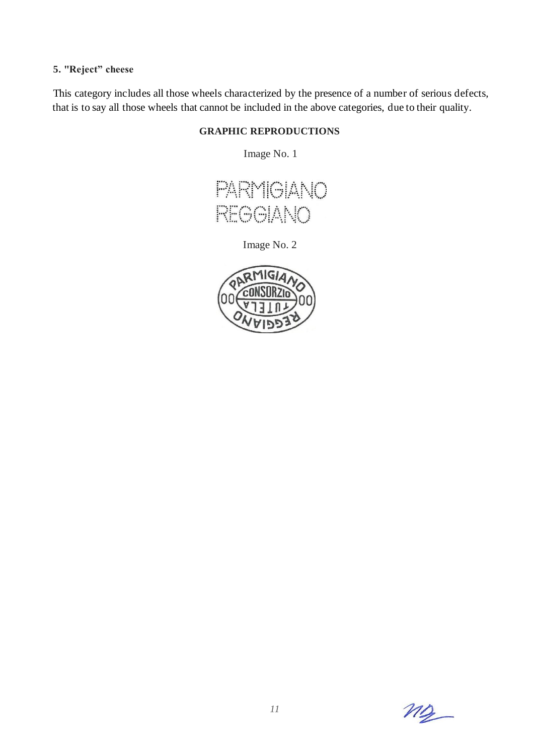# **5. "Reject" cheese**

This category includes all those wheels characterized by the presence of a number of serious defects, that is to say all those wheels that cannot be included in the above categories, due to their quality.

## **GRAPHIC REPRODUCTIONS**

Image No. 1



Image No. 2



 $M_{2}$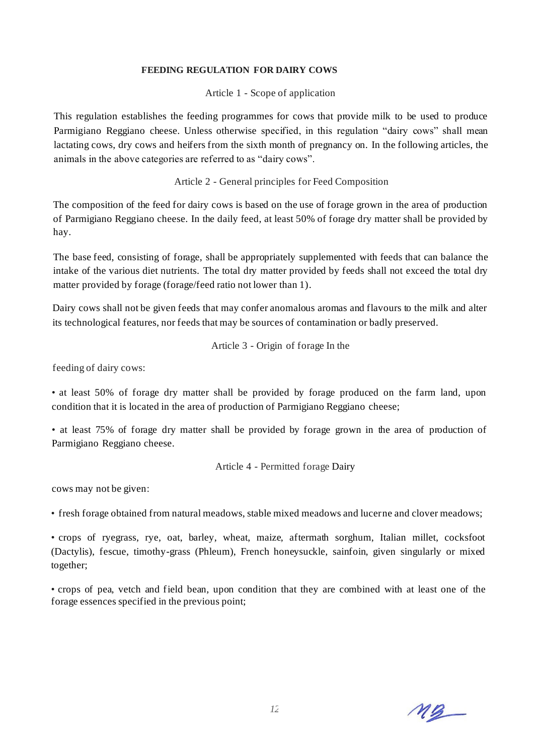#### **FEEDING REGULATION FOR DAIRY COWS**

Article 1 - Scope of application

This regulation establishes the feeding programmes for cows that provide milk to be used to produce Parmigiano Reggiano cheese. Unless otherwise specified, in this regulation "dairy cows" shall mean lactating cows, dry cows and heifers from the sixth month of pregnancy on. In the following articles, the animals in the above categories are referred to as "dairy cows".

## Article 2 - General principles for Feed Composition

The composition of the feed for dairy cows is based on the use of forage grown in the area of production of Parmigiano Reggiano cheese. In the daily feed, at least 50% of forage dry matter shall be provided by hay.

The base feed, consisting of forage, shall be appropriately supplemented with feeds that can balance the intake of the various diet nutrients. The total dry matter provided by feeds shall not exceed the total dry matter provided by forage (forage/feed ratio not lower than 1).

Dairy cows shall not be given feeds that may confer anomalous aromas and flavours to the milk and alter its technological features, nor feeds that may be sources of contamination or badly preserved.

Article 3 - Origin of forage In the

feeding of dairy cows:

• at least 50% of forage dry matter shall be provided by forage produced on the farm land, upon condition that it is located in the area of production of Parmigiano Reggiano cheese;

• at least 75% of forage dry matter shall be provided by forage grown in the area of production of Parmigiano Reggiano cheese.

Article 4 - Permitted forage Dairy

cows may not be given:

• fresh forage obtained from natural meadows, stable mixed meadows and lucerne and clover meadows;

• crops of ryegrass, rye, oat, barley, wheat, maize, aftermath sorghum, Italian millet, cocksfoot (Dactylis), fescue, timothy-grass (Phleum), French honeysuckle, sainfoin, given singularly or mixed together;

• crops of pea, vetch and field bean, upon condition that they are combined with at least one of the forage essences specified in the previous point;

 $M\underline{3}$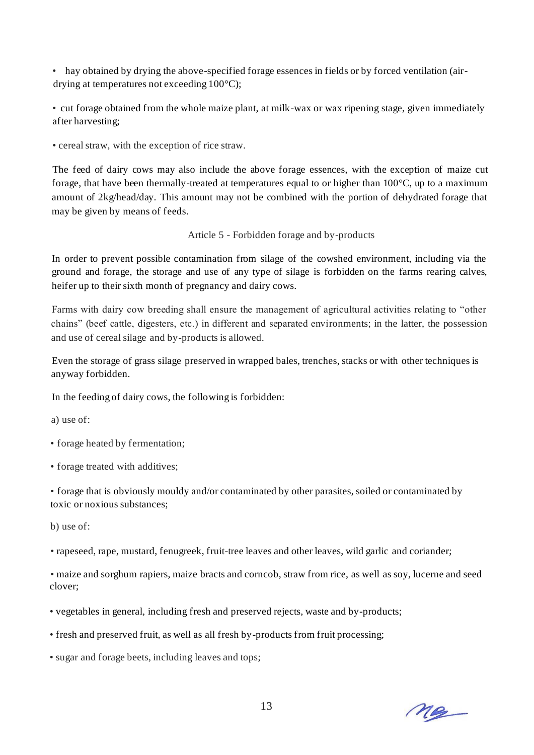• hay obtained by drying the above-specified forage essences in fields or by forced ventilation (airdrying at temperatures not exceeding 100°C);

• cut forage obtained from the whole maize plant, at milk-wax or wax ripening stage, given immediately after harvesting;

• cereal straw, with the exception of rice straw.

The feed of dairy cows may also include the above forage essences, with the exception of maize cut forage, that have been thermally-treated at temperatures equal to or higher than  $100^{\circ}$ C, up to a maximum amount of 2kg/head/day. This amount may not be combined with the portion of dehydrated forage that may be given by means of feeds.

Article 5 - Forbidden forage and by-products

In order to prevent possible contamination from silage of the cowshed environment, including via the ground and forage, the storage and use of any type of silage is forbidden on the farms rearing calves, heifer up to their sixth month of pregnancy and dairy cows.

Farms with dairy cow breeding shall ensure the management of agricultural activities relating to "other chains" (beef cattle, digesters, etc.) in different and separated environments; in the latter, the possession and use of cereal silage and by-products is allowed.

Even the storage of grass silage preserved in wrapped bales, trenches, stacks or with other techniques is anyway forbidden.

In the feeding of dairy cows, the following is forbidden:

a) use of:

• forage heated by fermentation;

• forage treated with additives;

• forage that is obviously mouldy and/or contaminated by other parasites, soiled or contaminated by toxic or noxious substances;

b) use of:

• rapeseed, rape, mustard, fenugreek, fruit-tree leaves and other leaves, wild garlic and coriander;

• maize and sorghum rapiers, maize bracts and corncob, straw from rice, as well as soy, lucerne and seed clover;

• vegetables in general, including fresh and preserved rejects, waste and by-products;

• fresh and preserved fruit, as well as all fresh by-products from fruit processing;

• sugar and forage beets, including leaves and tops;

Me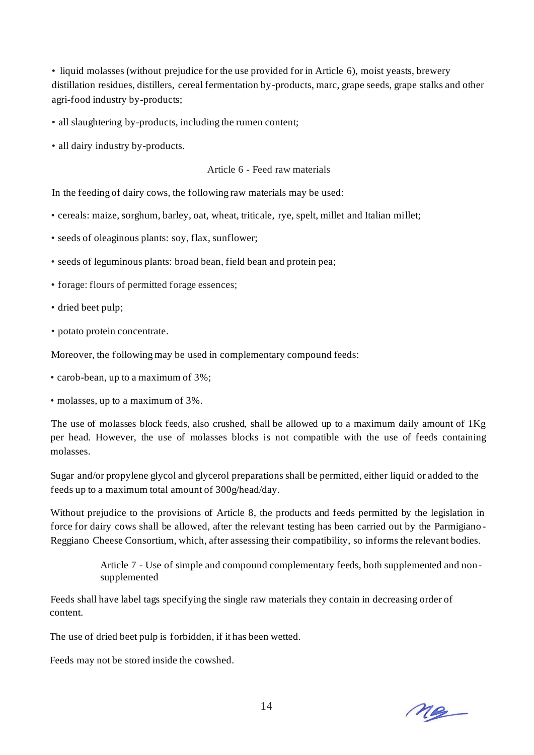• liquid molasses (without prejudice for the use provided for in Article 6), moist yeasts, brewery distillation residues, distillers, cereal fermentation by-products, marc, grape seeds, grape stalks and other agri-food industry by-products;

• all slaughtering by-products, including the rumen content;

• all dairy industry by-products.

Article 6 - Feed raw materials

In the feeding of dairy cows, the following raw materials may be used:

• cereals: maize, sorghum, barley, oat, wheat, triticale, rye, spelt, millet and Italian millet;

• seeds of oleaginous plants: soy, flax, sunflower;

- seeds of leguminous plants: broad bean, field bean and protein pea;
- forage: flours of permitted forage essences;
- dried beet pulp;
- potato protein concentrate.

Moreover, the following may be used in complementary compound feeds:

- carob-bean, up to a maximum of 3%;
- molasses, up to a maximum of 3%.

The use of molasses block feeds, also crushed, shall be allowed up to a maximum daily amount of 1Kg per head. However, the use of molasses blocks is not compatible with the use of feeds containing molasses.

Sugar and/or propylene glycol and glycerol preparations shall be permitted, either liquid or added to the feeds up to a maximum total amount of 300g/head/day.

Without prejudice to the provisions of Article 8, the products and feeds permitted by the legislation in force for dairy cows shall be allowed, after the relevant testing has been carried out by the Parmigiano - Reggiano Cheese Consortium, which, after assessing their compatibility, so informs the relevant bodies.

> Article 7 - Use of simple and compound complementary feeds, both supplemented and non supplemented

Feeds shall have label tags specifying the single raw materials they contain in decreasing order of content.

The use of dried beet pulp is forbidden, if it has been wetted.

Feeds may not be stored inside the cowshed.

Me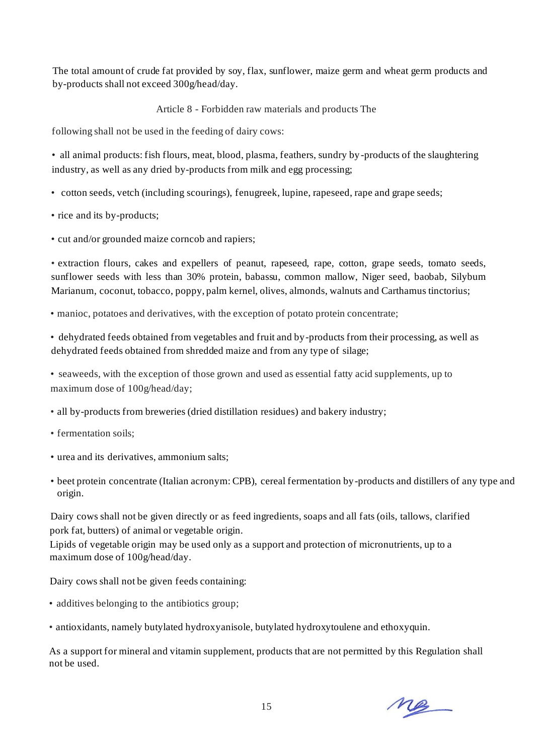The total amount of crude fat provided by soy, flax, sunflower, maize germ and wheat germ products and by-products shall not exceed 300g/head/day.

Article 8 - Forbidden raw materials and products The

following shall not be used in the feeding of dairy cows:

• all animal products: fish flours, meat, blood, plasma, feathers, sundry by-products of the slaughtering industry, as well as any dried by-products from milk and egg processing;

- cotton seeds, vetch (including scourings), fenugreek, lupine, rapeseed, rape and grape seeds;
- rice and its by-products;
- cut and/or grounded maize corncob and rapiers;

• extraction flours, cakes and expellers of peanut, rapeseed, rape, cotton, grape seeds, tomato seeds, sunflower seeds with less than 30% protein, babassu, common mallow, Niger seed, baobab, Silybum Marianum, coconut, tobacco, poppy, palm kernel, olives, almonds, walnuts and Carthamus tinctorius;

• manioc, potatoes and derivatives, with the exception of potato protein concentrate;

• dehydrated feeds obtained from vegetables and fruit and by-products from their processing, as well as dehydrated feeds obtained from shredded maize and from any type of silage;

• seaweeds, with the exception of those grown and used as essential fatty acid supplements, up to maximum dose of 100g/head/day;

- all by-products from breweries (dried distillation residues) and bakery industry;
- fermentation soils;
- urea and its derivatives, ammonium salts;
- beet protein concentrate (Italian acronym: CPB), cereal fermentation by-products and distillers of any type and origin.

Dairy cows shall not be given directly or as feed ingredients, soaps and all fats (oils, tallows, clarified pork fat, butters) of animal or vegetable origin.

Lipids of vegetable origin may be used only as a support and protection of micronutrients, up to a maximum dose of 100g/head/day.

Dairy cows shall not be given feeds containing:

- additives belonging to the antibiotics group;
- antioxidants, namely butylated hydroxyanisole, butylated hydroxytoulene and ethoxyquin.

As a support for mineral and vitamin supplement, products that are not permitted by this Regulation shall not be used.

me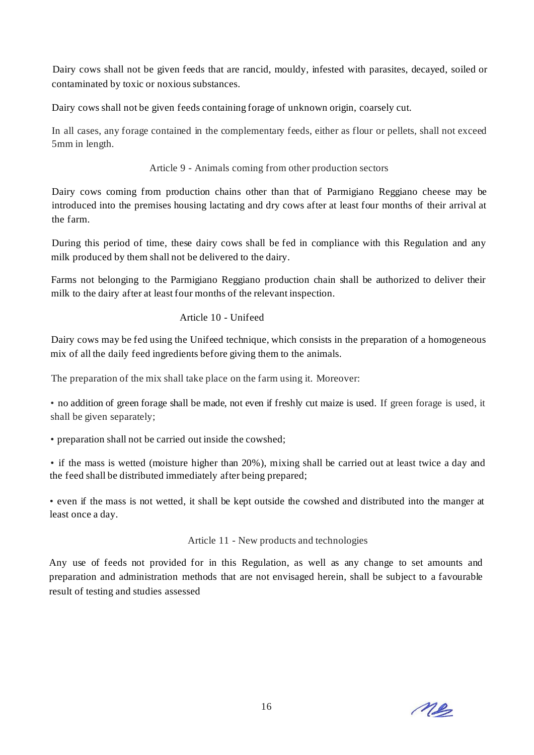Dairy cows shall not be given feeds that are rancid, mouldy, infested with parasites, decayed, soiled or contaminated by toxic or noxious substances.

Dairy cows shall not be given feeds containing forage of unknown origin, coarsely cut.

In all cases, any forage contained in the complementary feeds, either as flour or pellets, shall not exceed 5mm in length.

Article 9 - Animals coming from other production sectors

Dairy cows coming from production chains other than that of Parmigiano Reggiano cheese may be introduced into the premises housing lactating and dry cows after at least four months of their arrival at the farm.

During this period of time, these dairy cows shall be fed in compliance with this Regulation and any milk produced by them shall not be delivered to the dairy.

Farms not belonging to the Parmigiano Reggiano production chain shall be authorized to deliver their milk to the dairy after at least four months of the relevant inspection.

## Article 10 - Unifeed

Dairy cows may be fed using the Unifeed technique, which consists in the preparation of a homogeneous mix of all the daily feed ingredients before giving them to the animals.

The preparation of the mix shall take place on the farm using it. Moreover:

• no addition of green forage shall be made, not even if freshly cut maize is used. If green forage is used, it shall be given separately;

• preparation shall not be carried out inside the cowshed;

• if the mass is wetted (moisture higher than 20%), mixing shall be carried out at least twice a day and the feed shall be distributed immediately after being prepared;

• even if the mass is not wetted, it shall be kept outside the cowshed and distributed into the manger at least once a day.

Article 11 - New products and technologies

Any use of feeds not provided for in this Regulation, as well as any change to set amounts and preparation and administration methods that are not envisaged herein, shall be subject to a favourable result of testing and studies assessed

ne